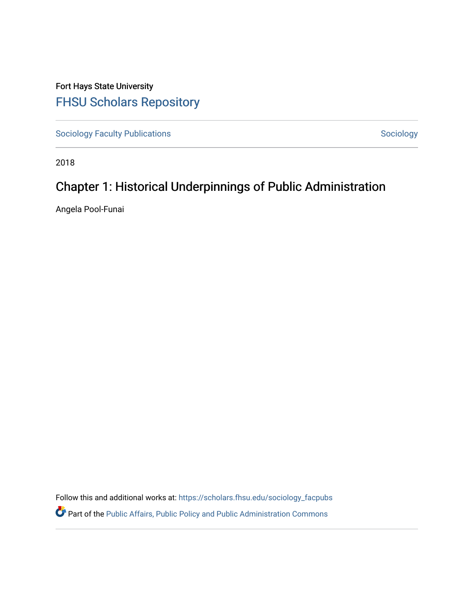Fort Hays State University [FHSU Scholars Repository](https://scholars.fhsu.edu/) 

[Sociology Faculty Publications](https://scholars.fhsu.edu/sociology_facpubs) and [Sociology](https://scholars.fhsu.edu/sociology) Sociology Sociology

2018

# Chapter 1: Historical Underpinnings of Public Administration

Angela Pool-Funai

Follow this and additional works at: [https://scholars.fhsu.edu/sociology\\_facpubs](https://scholars.fhsu.edu/sociology_facpubs?utm_source=scholars.fhsu.edu%2Fsociology_facpubs%2F6&utm_medium=PDF&utm_campaign=PDFCoverPages)  **P** Part of the Public Affairs, Public Policy and Public Administration Commons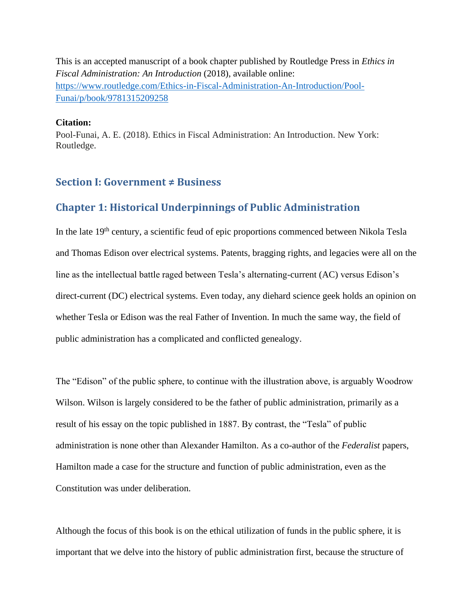This is an accepted manuscript of a book chapter published by Routledge Press in *Ethics in Fiscal Administration: An Introduction* (2018), available online: [https://www.routledge.com/Ethics-in-Fiscal-Administration-An-Introduction/Pool-](https://www.routledge.com/Ethics-in-Fiscal-Administration-An-Introduction/Pool-Funai/p/book/9781315209258)[Funai/p/book/9781315209258](https://www.routledge.com/Ethics-in-Fiscal-Administration-An-Introduction/Pool-Funai/p/book/9781315209258)

## **Citation:**

Pool-Funai, A. E. (2018). Ethics in Fiscal Administration: An Introduction. New York: Routledge.

## **Section I: Government ≠ Business**

# **Chapter 1: Historical Underpinnings of Public Administration**

In the late  $19<sup>th</sup>$  century, a scientific feud of epic proportions commenced between Nikola Tesla and Thomas Edison over electrical systems. Patents, bragging rights, and legacies were all on the line as the intellectual battle raged between Tesla's alternating-current (AC) versus Edison's direct-current (DC) electrical systems. Even today, any diehard science geek holds an opinion on whether Tesla or Edison was the real Father of Invention. In much the same way, the field of public administration has a complicated and conflicted genealogy.

The "Edison" of the public sphere, to continue with the illustration above, is arguably Woodrow Wilson. Wilson is largely considered to be the father of public administration, primarily as a result of his essay on the topic published in 1887. By contrast, the "Tesla" of public administration is none other than Alexander Hamilton. As a co-author of the *Federalist* papers, Hamilton made a case for the structure and function of public administration, even as the Constitution was under deliberation.

Although the focus of this book is on the ethical utilization of funds in the public sphere, it is important that we delve into the history of public administration first, because the structure of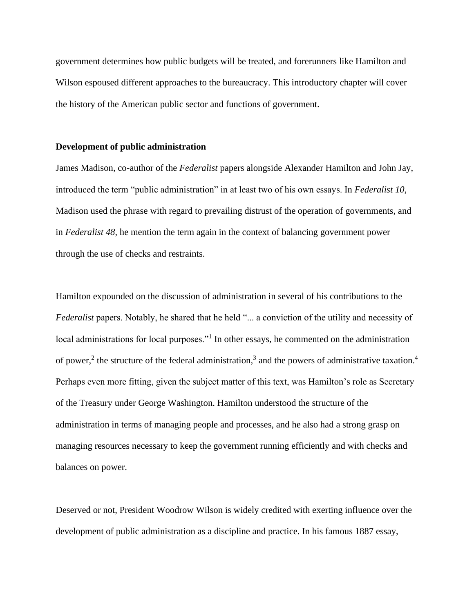government determines how public budgets will be treated, and forerunners like Hamilton and Wilson espoused different approaches to the bureaucracy. This introductory chapter will cover the history of the American public sector and functions of government.

### **Development of public administration**

James Madison, co-author of the *Federalist* papers alongside Alexander Hamilton and John Jay, introduced the term "public administration" in at least two of his own essays. In *Federalist 10*, Madison used the phrase with regard to prevailing distrust of the operation of governments, and in *Federalist 48*, he mention the term again in the context of balancing government power through the use of checks and restraints.

Hamilton expounded on the discussion of administration in several of his contributions to the *Federalist* papers. Notably, he shared that he held "... a conviction of the utility and necessity of local administrations for local purposes."<sup>1</sup> In other essays, he commented on the administration of power,<sup>2</sup> the structure of the federal administration,<sup>3</sup> and the powers of administrative taxation.<sup>4</sup> Perhaps even more fitting, given the subject matter of this text, was Hamilton's role as Secretary of the Treasury under George Washington. Hamilton understood the structure of the administration in terms of managing people and processes, and he also had a strong grasp on managing resources necessary to keep the government running efficiently and with checks and balances on power.

Deserved or not, President Woodrow Wilson is widely credited with exerting influence over the development of public administration as a discipline and practice. In his famous 1887 essay,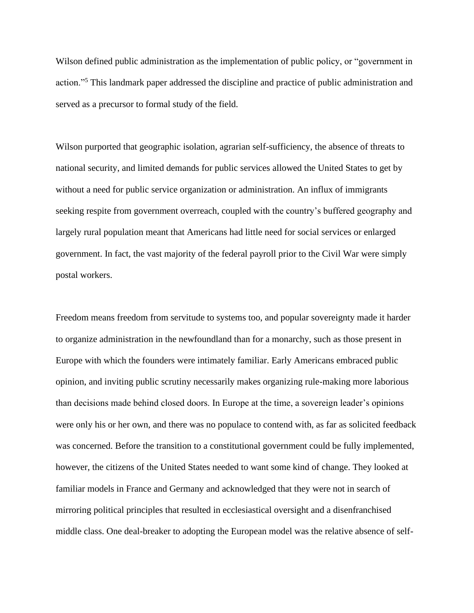Wilson defined public administration as the implementation of public policy, or "government in action."<sup>5</sup> This landmark paper addressed the discipline and practice of public administration and served as a precursor to formal study of the field.

Wilson purported that geographic isolation, agrarian self-sufficiency, the absence of threats to national security, and limited demands for public services allowed the United States to get by without a need for public service organization or administration. An influx of immigrants seeking respite from government overreach, coupled with the country's buffered geography and largely rural population meant that Americans had little need for social services or enlarged government. In fact, the vast majority of the federal payroll prior to the Civil War were simply postal workers.

Freedom means freedom from servitude to systems too, and popular sovereignty made it harder to organize administration in the newfoundland than for a monarchy, such as those present in Europe with which the founders were intimately familiar. Early Americans embraced public opinion, and inviting public scrutiny necessarily makes organizing rule-making more laborious than decisions made behind closed doors. In Europe at the time, a sovereign leader's opinions were only his or her own, and there was no populace to contend with, as far as solicited feedback was concerned. Before the transition to a constitutional government could be fully implemented, however, the citizens of the United States needed to want some kind of change. They looked at familiar models in France and Germany and acknowledged that they were not in search of mirroring political principles that resulted in ecclesiastical oversight and a disenfranchised middle class. One deal-breaker to adopting the European model was the relative absence of self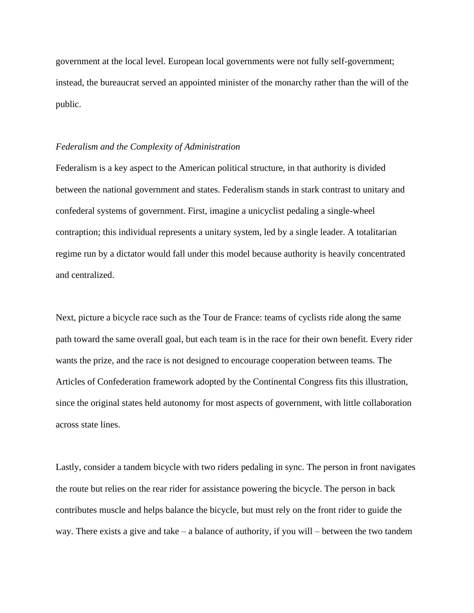government at the local level. European local governments were not fully self-government; instead, the bureaucrat served an appointed minister of the monarchy rather than the will of the public.

#### *Federalism and the Complexity of Administration*

Federalism is a key aspect to the American political structure, in that authority is divided between the national government and states. Federalism stands in stark contrast to unitary and confederal systems of government. First, imagine a unicyclist pedaling a single-wheel contraption; this individual represents a unitary system, led by a single leader. A totalitarian regime run by a dictator would fall under this model because authority is heavily concentrated and centralized.

Next, picture a bicycle race such as the Tour de France: teams of cyclists ride along the same path toward the same overall goal, but each team is in the race for their own benefit. Every rider wants the prize, and the race is not designed to encourage cooperation between teams. The Articles of Confederation framework adopted by the Continental Congress fits this illustration, since the original states held autonomy for most aspects of government, with little collaboration across state lines.

Lastly, consider a tandem bicycle with two riders pedaling in sync. The person in front navigates the route but relies on the rear rider for assistance powering the bicycle. The person in back contributes muscle and helps balance the bicycle, but must rely on the front rider to guide the way. There exists a give and take – a balance of authority, if you will – between the two tandem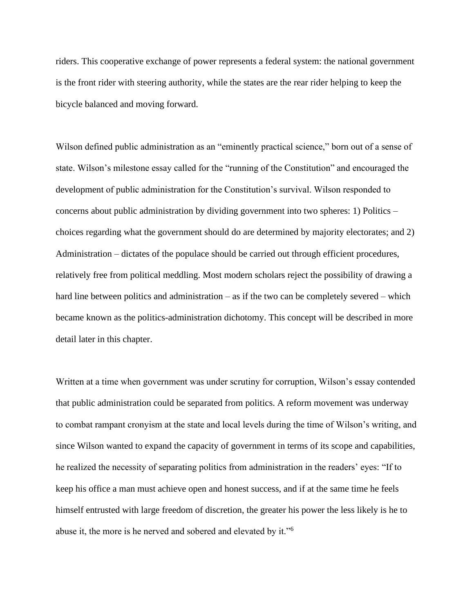riders. This cooperative exchange of power represents a federal system: the national government is the front rider with steering authority, while the states are the rear rider helping to keep the bicycle balanced and moving forward.

Wilson defined public administration as an "eminently practical science," born out of a sense of state. Wilson's milestone essay called for the "running of the Constitution" and encouraged the development of public administration for the Constitution's survival. Wilson responded to concerns about public administration by dividing government into two spheres: 1) Politics – choices regarding what the government should do are determined by majority electorates; and 2) Administration – dictates of the populace should be carried out through efficient procedures, relatively free from political meddling. Most modern scholars reject the possibility of drawing a hard line between politics and administration – as if the two can be completely severed – which became known as the politics-administration dichotomy. This concept will be described in more detail later in this chapter.

Written at a time when government was under scrutiny for corruption, Wilson's essay contended that public administration could be separated from politics. A reform movement was underway to combat rampant cronyism at the state and local levels during the time of Wilson's writing, and since Wilson wanted to expand the capacity of government in terms of its scope and capabilities, he realized the necessity of separating politics from administration in the readers' eyes: "If to keep his office a man must achieve open and honest success, and if at the same time he feels himself entrusted with large freedom of discretion, the greater his power the less likely is he to abuse it, the more is he nerved and sobered and elevated by it."<sup>6</sup>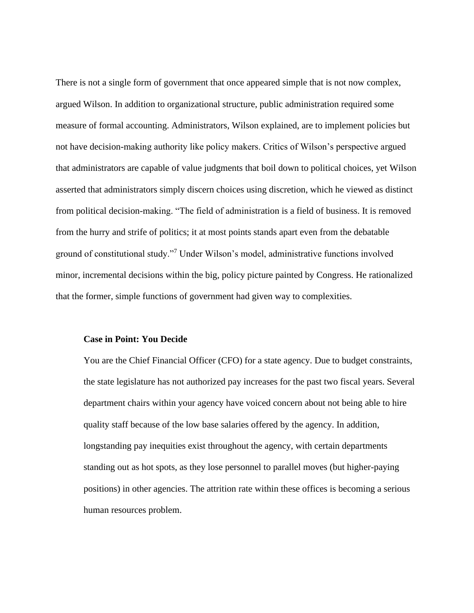There is not a single form of government that once appeared simple that is not now complex, argued Wilson. In addition to organizational structure, public administration required some measure of formal accounting. Administrators, Wilson explained, are to implement policies but not have decision-making authority like policy makers. Critics of Wilson's perspective argued that administrators are capable of value judgments that boil down to political choices, yet Wilson asserted that administrators simply discern choices using discretion, which he viewed as distinct from political decision-making. "The field of administration is a field of business. It is removed from the hurry and strife of politics; it at most points stands apart even from the debatable ground of constitutional study."<sup>7</sup> Under Wilson's model, administrative functions involved minor, incremental decisions within the big, policy picture painted by Congress. He rationalized that the former, simple functions of government had given way to complexities.

#### **Case in Point: You Decide**

You are the Chief Financial Officer (CFO) for a state agency. Due to budget constraints, the state legislature has not authorized pay increases for the past two fiscal years. Several department chairs within your agency have voiced concern about not being able to hire quality staff because of the low base salaries offered by the agency. In addition, longstanding pay inequities exist throughout the agency, with certain departments standing out as hot spots, as they lose personnel to parallel moves (but higher-paying positions) in other agencies. The attrition rate within these offices is becoming a serious human resources problem.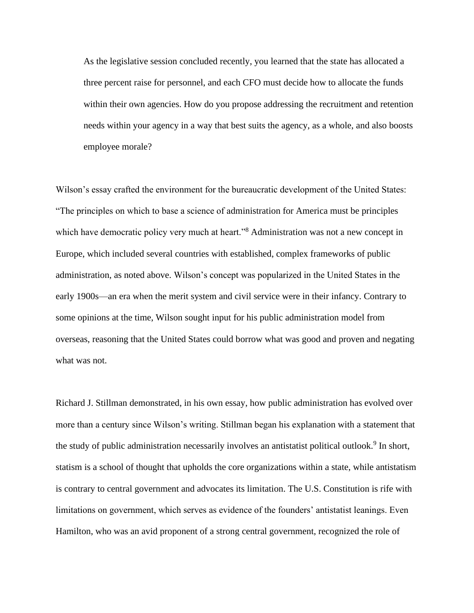As the legislative session concluded recently, you learned that the state has allocated a three percent raise for personnel, and each CFO must decide how to allocate the funds within their own agencies. How do you propose addressing the recruitment and retention needs within your agency in a way that best suits the agency, as a whole, and also boosts employee morale?

Wilson's essay crafted the environment for the bureaucratic development of the United States: "The principles on which to base a science of administration for America must be principles which have democratic policy very much at heart."<sup>8</sup> Administration was not a new concept in Europe, which included several countries with established, complex frameworks of public administration, as noted above. Wilson's concept was popularized in the United States in the early 1900s—an era when the merit system and civil service were in their infancy. Contrary to some opinions at the time, Wilson sought input for his public administration model from overseas, reasoning that the United States could borrow what was good and proven and negating what was not.

Richard J. Stillman demonstrated, in his own essay, how public administration has evolved over more than a century since Wilson's writing. Stillman began his explanation with a statement that the study of public administration necessarily involves an antistatist political outlook.<sup>9</sup> In short, statism is a school of thought that upholds the core organizations within a state, while antistatism is contrary to central government and advocates its limitation. The U.S. Constitution is rife with limitations on government, which serves as evidence of the founders' antistatist leanings. Even Hamilton, who was an avid proponent of a strong central government, recognized the role of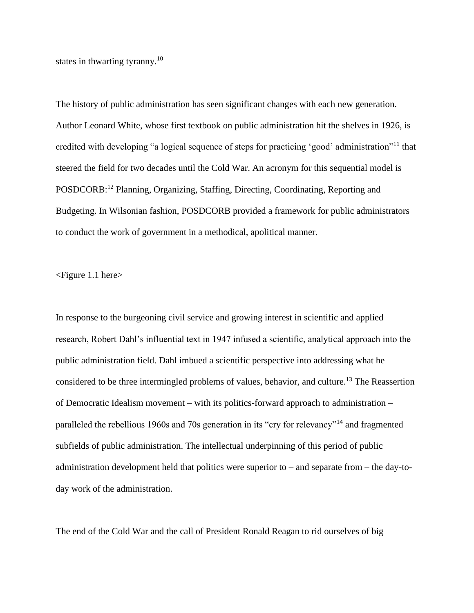states in thwarting tyranny.<sup>10</sup>

The history of public administration has seen significant changes with each new generation. Author Leonard White, whose first textbook on public administration hit the shelves in 1926, is credited with developing "a logical sequence of steps for practicing 'good' administration"<sup>11</sup> that steered the field for two decades until the Cold War. An acronym for this sequential model is POSDCORB:<sup>12</sup> Planning, Organizing, Staffing, Directing, Coordinating, Reporting and Budgeting. In Wilsonian fashion, POSDCORB provided a framework for public administrators to conduct the work of government in a methodical, apolitical manner.

<Figure 1.1 here>

In response to the burgeoning civil service and growing interest in scientific and applied research, Robert Dahl's influential text in 1947 infused a scientific, analytical approach into the public administration field. Dahl imbued a scientific perspective into addressing what he considered to be three intermingled problems of values, behavior, and culture.<sup>13</sup> The Reassertion of Democratic Idealism movement – with its politics-forward approach to administration – paralleled the rebellious 1960s and 70s generation in its "cry for relevancy"<sup>14</sup> and fragmented subfields of public administration. The intellectual underpinning of this period of public administration development held that politics were superior to – and separate from – the day-today work of the administration.

The end of the Cold War and the call of President Ronald Reagan to rid ourselves of big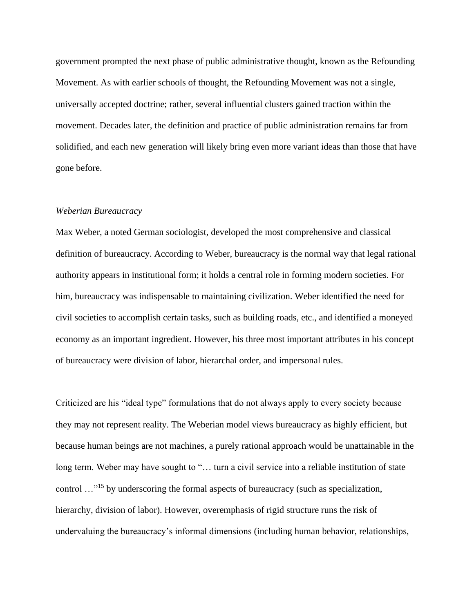government prompted the next phase of public administrative thought, known as the Refounding Movement. As with earlier schools of thought, the Refounding Movement was not a single, universally accepted doctrine; rather, several influential clusters gained traction within the movement. Decades later, the definition and practice of public administration remains far from solidified, and each new generation will likely bring even more variant ideas than those that have gone before.

#### *Weberian Bureaucracy*

Max Weber, a noted German sociologist, developed the most comprehensive and classical definition of bureaucracy. According to Weber, bureaucracy is the normal way that legal rational authority appears in institutional form; it holds a central role in forming modern societies. For him, bureaucracy was indispensable to maintaining civilization. Weber identified the need for civil societies to accomplish certain tasks, such as building roads, etc., and identified a moneyed economy as an important ingredient. However, his three most important attributes in his concept of bureaucracy were division of labor, hierarchal order, and impersonal rules.

Criticized are his "ideal type" formulations that do not always apply to every society because they may not represent reality. The Weberian model views bureaucracy as highly efficient, but because human beings are not machines, a purely rational approach would be unattainable in the long term. Weber may have sought to "... turn a civil service into a reliable institution of state control …"<sup>15</sup> by underscoring the formal aspects of bureaucracy (such as specialization, hierarchy, division of labor). However, overemphasis of rigid structure runs the risk of undervaluing the bureaucracy's informal dimensions (including human behavior, relationships,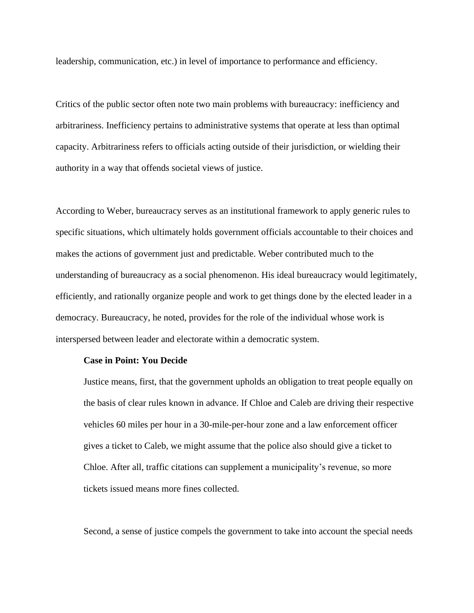leadership, communication, etc.) in level of importance to performance and efficiency.

Critics of the public sector often note two main problems with bureaucracy: inefficiency and arbitrariness. Inefficiency pertains to administrative systems that operate at less than optimal capacity. Arbitrariness refers to officials acting outside of their jurisdiction, or wielding their authority in a way that offends societal views of justice.

According to Weber, bureaucracy serves as an institutional framework to apply generic rules to specific situations, which ultimately holds government officials accountable to their choices and makes the actions of government just and predictable. Weber contributed much to the understanding of bureaucracy as a social phenomenon. His ideal bureaucracy would legitimately, efficiently, and rationally organize people and work to get things done by the elected leader in a democracy. Bureaucracy, he noted, provides for the role of the individual whose work is interspersed between leader and electorate within a democratic system.

#### **Case in Point: You Decide**

Justice means, first, that the government upholds an obligation to treat people equally on the basis of clear rules known in advance. If Chloe and Caleb are driving their respective vehicles 60 miles per hour in a 30-mile-per-hour zone and a law enforcement officer gives a ticket to Caleb, we might assume that the police also should give a ticket to Chloe. After all, traffic citations can supplement a municipality's revenue, so more tickets issued means more fines collected.

Second, a sense of justice compels the government to take into account the special needs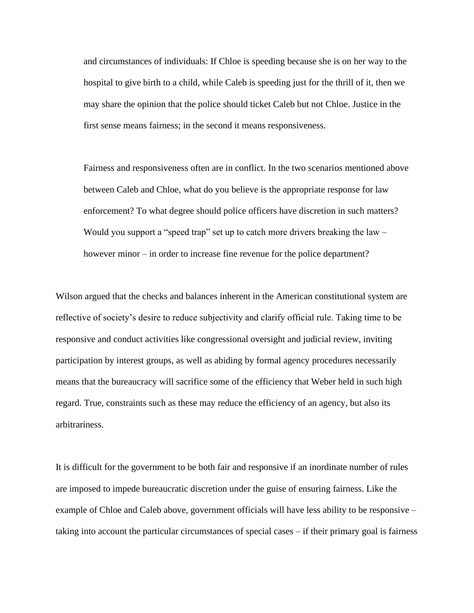and circumstances of individuals: If Chloe is speeding because she is on her way to the hospital to give birth to a child, while Caleb is speeding just for the thrill of it, then we may share the opinion that the police should ticket Caleb but not Chloe. Justice in the first sense means fairness; in the second it means responsiveness.

Fairness and responsiveness often are in conflict. In the two scenarios mentioned above between Caleb and Chloe, what do you believe is the appropriate response for law enforcement? To what degree should police officers have discretion in such matters? Would you support a "speed trap" set up to catch more drivers breaking the law – however minor – in order to increase fine revenue for the police department?

Wilson argued that the checks and balances inherent in the American constitutional system are reflective of society's desire to reduce subjectivity and clarify official rule. Taking time to be responsive and conduct activities like congressional oversight and judicial review, inviting participation by interest groups, as well as abiding by formal agency procedures necessarily means that the bureaucracy will sacrifice some of the efficiency that Weber held in such high regard. True, constraints such as these may reduce the efficiency of an agency, but also its arbitrariness.

It is difficult for the government to be both fair and responsive if an inordinate number of rules are imposed to impede bureaucratic discretion under the guise of ensuring fairness. Like the example of Chloe and Caleb above, government officials will have less ability to be responsive – taking into account the particular circumstances of special cases – if their primary goal is fairness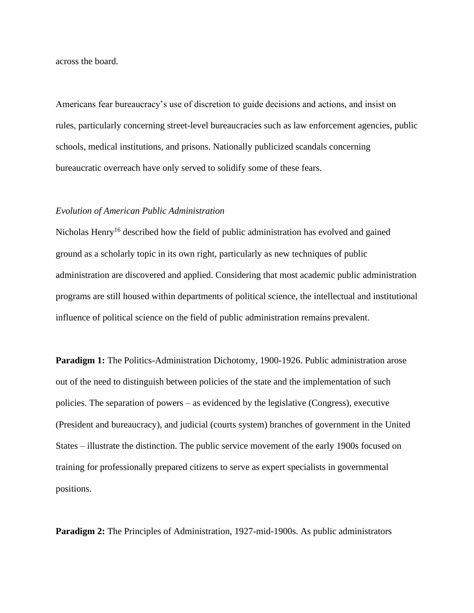across the board.

Americans fear bureaucracy's use of discretion to guide decisions and actions, and insist on rules, particularly concerning street-level bureaucracies such as law enforcement agencies, public schools, medical institutions, and prisons. Nationally publicized scandals concerning bureaucratic overreach have only served to solidify some of these fears.

#### *Evolution of American Public Administration*

Nicholas Henry<sup>16</sup> described how the field of public administration has evolved and gained ground as a scholarly topic in its own right, particularly as new techniques of public administration are discovered and applied. Considering that most academic public administration programs are still housed within departments of political science, the intellectual and institutional influence of political science on the field of public administration remains prevalent.

**Paradigm 1:** The Politics-Administration Dichotomy, 1900-1926. Public administration arose out of the need to distinguish between policies of the state and the implementation of such policies. The separation of powers – as evidenced by the legislative (Congress), executive (President and bureaucracy), and judicial (courts system) branches of government in the United States – illustrate the distinction. The public service movement of the early 1900s focused on training for professionally prepared citizens to serve as expert specialists in governmental positions.

**Paradigm 2:** The Principles of Administration, 1927-mid-1900s. As public administrators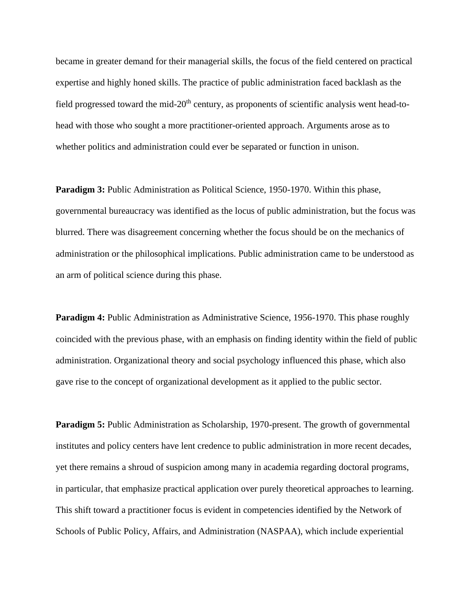became in greater demand for their managerial skills, the focus of the field centered on practical expertise and highly honed skills. The practice of public administration faced backlash as the field progressed toward the mid- $20<sup>th</sup>$  century, as proponents of scientific analysis went head-tohead with those who sought a more practitioner-oriented approach. Arguments arose as to whether politics and administration could ever be separated or function in unison.

**Paradigm 3:** Public Administration as Political Science, 1950-1970. Within this phase, governmental bureaucracy was identified as the locus of public administration, but the focus was blurred. There was disagreement concerning whether the focus should be on the mechanics of administration or the philosophical implications. Public administration came to be understood as an arm of political science during this phase.

**Paradigm 4:** Public Administration as Administrative Science, 1956-1970. This phase roughly coincided with the previous phase, with an emphasis on finding identity within the field of public administration. Organizational theory and social psychology influenced this phase, which also gave rise to the concept of organizational development as it applied to the public sector.

**Paradigm 5:** Public Administration as Scholarship, 1970-present. The growth of governmental institutes and policy centers have lent credence to public administration in more recent decades, yet there remains a shroud of suspicion among many in academia regarding doctoral programs, in particular, that emphasize practical application over purely theoretical approaches to learning. This shift toward a practitioner focus is evident in competencies identified by the Network of Schools of Public Policy, Affairs, and Administration (NASPAA), which include experiential